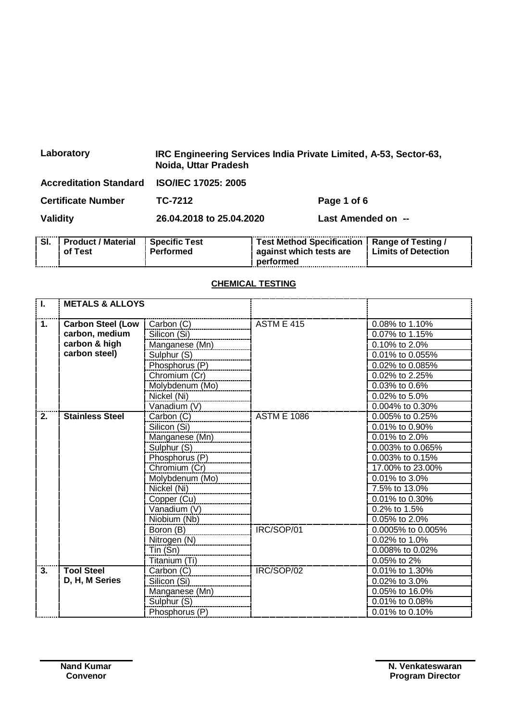| Laboratory                                 | IRC Engineering Services India Private Limited, A-53, Sector-63,<br>Noida, Uttar Pradesh |                    |  |
|--------------------------------------------|------------------------------------------------------------------------------------------|--------------------|--|
| Accreditation Standard ISO/IEC 17025: 2005 |                                                                                          |                    |  |
| <b>Certificate Number</b>                  | TC-7212                                                                                  | Page 1 of 6        |  |
| Validity                                   | 26.04.2018 to 25.04.2020                                                                 | Last Amended on -- |  |

| SI. | <b>Product / Material</b><br>of Test | <b>Specific Test</b><br>Performed | Test Method Specification   Range of Testing /<br>against which tests are | <b>Limits of Detection</b> |
|-----|--------------------------------------|-----------------------------------|---------------------------------------------------------------------------|----------------------------|
|     |                                      |                                   | performed                                                                 |                            |

## **CHEMICAL TESTING**

| $\overline{\mathsf{L}}$ | <b>METALS &amp; ALLOYS</b> |                 |                    |                     |
|-------------------------|----------------------------|-----------------|--------------------|---------------------|
|                         |                            |                 |                    |                     |
| 1.                      | <b>Carbon Steel (Low</b>   | Carbon (C)      | <b>ASTM E 415</b>  | 0.08% to 1.10%      |
|                         | carbon, medium             | Silicon (Si)    |                    | 0.07% to 1.15%      |
|                         | carbon & high              | Manganese (Mn)  |                    | 0.10% to 2.0%       |
|                         | carbon steel)              | Sulphur (S)     |                    | 0.01% to 0.055%     |
|                         |                            | Phosphorus (P)  |                    | 0.02% to 0.085%     |
|                         |                            | Chromium (Cr)   |                    | 0.02% to 2.25%      |
|                         |                            | Molybdenum (Mo) |                    | 0.03% to 0.6%       |
|                         |                            | Nickel (Ni)     |                    | 0.02% to 5.0%       |
|                         |                            | Vanadium (V)    |                    | 0.004% to 0.30%     |
| 2.                      | <b>Stainless Steel</b>     | Carbon (C)      | <b>ASTM E 1086</b> | 0.005% to 0.25%     |
|                         |                            | Silicon (Si)    |                    | 0.01% to 0.90%      |
|                         |                            | Manganese (Mn)  |                    | 0.01% to 2.0%       |
|                         |                            | Sulphur (S)     |                    | $0.003\%$ to 0.065% |
|                         |                            | Phosphorus (P)  |                    | 0.003% to 0.15%     |
|                         |                            | Chromium (Cr)   |                    | 17.00% to 23.00%    |
|                         |                            | Molybdenum (Mo) |                    | 0.01% to 3.0%       |
|                         |                            | Nickel (Ni)     |                    | 7.5% to 13.0%       |
|                         |                            | Copper (Cu)     |                    | $0.01\%$ to 0.30%   |
|                         |                            | Vanadium (V)    |                    | 0.2% to 1.5%        |
|                         |                            | Niobium (Nb)    |                    | 0.05% to 2.0%       |
|                         |                            | Boron (B)       | IRC/SOP/01         | 0.0005% to 0.005%   |
|                         |                            | Nitrogen (N)    |                    | 0.02% to 1.0%       |
|                         |                            | Tin (Sn)        |                    | 0.008% to 0.02%     |
|                         |                            | Titanium (Ti)   |                    | 0.05% to 2%         |
| 3.                      | <b>Tool Steel</b>          | Carbon (C)      | IRC/SOP/02         | 0.01% to 1.30%      |
|                         | D, H, M Series             | Silicon (Si)    |                    | 0.02% to 3.0%       |
|                         |                            | Manganese (Mn)  |                    | 0.05% to 16.0%      |
|                         |                            | Sulphur (S)     |                    | 0.01% to 0.08%      |
|                         |                            | Phosphorus (P)  |                    | 0.01% to 0.10%      |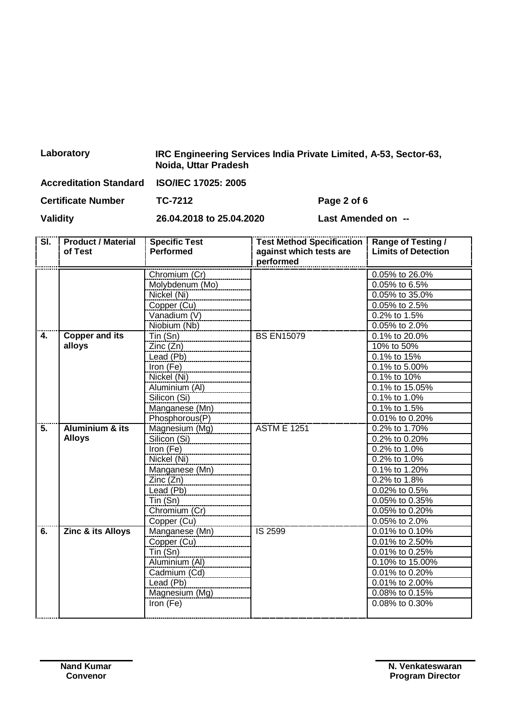| Laboratory | IRC Engineering Services India Private Limited, A-53, Sector-63,<br>Noida, Uttar Pradesh |
|------------|------------------------------------------------------------------------------------------|
|            |                                                                                          |

| <b>Accreditation Standard</b> | <b>ISO/IEC 17025: 2005</b> |                    |
|-------------------------------|----------------------------|--------------------|
| <b>Certificate Number</b>     | TC-7212                    | Page 2 of 6        |
| <b>Validity</b>               | 26.04.2018 to 25.04.2020   | Last Amended on -- |

| SI. | <b>Product / Material</b><br>of Test | <b>Specific Test</b><br><b>Performed</b> | <b>Test Method Specification</b><br>against which tests are<br>performed | <b>Range of Testing /</b><br><b>Limits of Detection</b> |
|-----|--------------------------------------|------------------------------------------|--------------------------------------------------------------------------|---------------------------------------------------------|
|     |                                      | Chromium (Cr)                            |                                                                          | 0.05% to 26.0%                                          |
|     |                                      | Molybdenum (Mo)                          |                                                                          | 0.05% to 6.5%                                           |
|     |                                      | Nickel (Ni)                              |                                                                          | 0.05% to 35.0%                                          |
|     |                                      | Copper (Cu)                              |                                                                          | 0.05% to 2.5%                                           |
|     |                                      | Vanadium (V)                             |                                                                          | $0.2\%$ to 1.5%                                         |
|     |                                      | Niobium (Nb)                             |                                                                          | 0.05% to 2.0%                                           |
| 4.  | <b>Copper and its</b>                | $T$ in $(Sn)$                            | <b>BS EN15079</b>                                                        | $\overline{0.1\%}$ to 20.0%                             |
|     | alloys                               | Zinc(Zn)                                 |                                                                          | 10% to 50%                                              |
|     |                                      | Lead (Pb)                                |                                                                          | 0.1% to 15%                                             |
|     |                                      | $\overline{\text{Iron}}$ (Fe)            |                                                                          | 0.1% to 5.00%                                           |
|     |                                      | Nickel (Ni)                              |                                                                          | 0.1% to 10%                                             |
|     |                                      | Aluminium (Al)                           |                                                                          | 0.1% to 15.05%                                          |
|     |                                      | Silicon (Si)                             |                                                                          | 0.1% to 1.0%                                            |
|     |                                      | Manganese (Mn)                           |                                                                          | $0.1\%$ to 1.5%                                         |
|     |                                      | Phosphorous(P)                           |                                                                          | 0.01% to 0.20%                                          |
| 5.  | <b>Aluminium &amp; its</b>           | Magnesium (Mg)                           | <b>ASTM E 1251</b>                                                       | 0.2% to 1.70%                                           |
|     | <b>Alloys</b>                        | Silicon (Si)                             |                                                                          | $0.2\%$ to 0.20%                                        |
|     |                                      | Iron (Fe)                                |                                                                          | 0.2% to 1.0%                                            |
|     |                                      | Nickel (Ni)                              |                                                                          | 0.2% to 1.0%                                            |
|     |                                      | Manganese (Mn)                           |                                                                          | 0.1% to 1.20%                                           |
|     |                                      | Zinc(Zn)                                 |                                                                          | 0.2% to 1.8%                                            |
|     |                                      | Lead (Pb)                                |                                                                          | 0.02% to 0.5%                                           |
|     |                                      | $T$ in $(Sn)$                            |                                                                          | $0.05\%$ to 0.35%                                       |
|     |                                      | Chromium (Cr)                            |                                                                          | 0.05% to 0.20%                                          |
|     |                                      | Copper (Cu)                              |                                                                          | 0.05% to 2.0%                                           |
| 6.  | <b>Zinc &amp; its Alloys</b>         | Manganese (Mn)                           | IS 2599                                                                  | 0.01% to 0.10%                                          |
|     |                                      | Copper (Cu)                              |                                                                          | 0.01% to 2.50%                                          |
|     |                                      | Tin (Sn)                                 |                                                                          | 0.01% to 0.25%                                          |
|     |                                      | Aluminium (Al)                           |                                                                          | 0.10% to 15.00%                                         |
|     |                                      | Cadmium (Cd)                             |                                                                          | 0.01% to 0.20%                                          |
|     |                                      | Lead (Pb)                                |                                                                          | 0.01% to 2.00%                                          |
|     |                                      | Magnesium (Mg)                           |                                                                          | 0.08% to 0.15%                                          |
|     |                                      | Iron (Fe)                                |                                                                          | 0.08% to 0.30%                                          |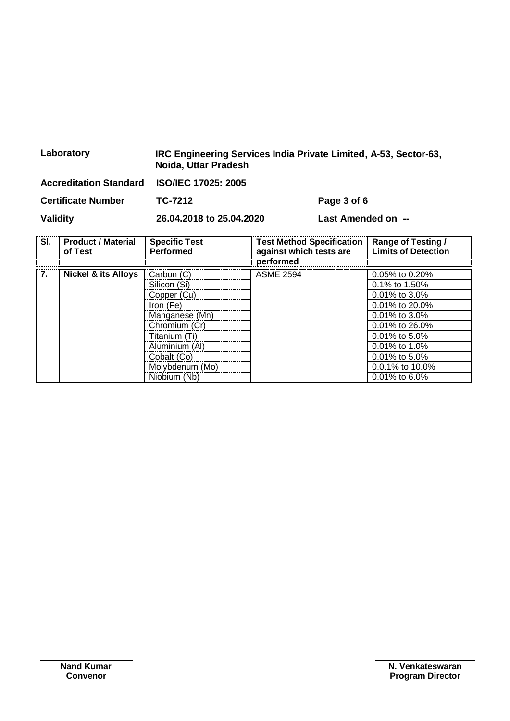|                                                                               | Laboratory                           | IRC Engineering Services India Private Limited, A-53, Sector-63,<br>Noida, Uttar Pradesh |                            |                                                             |                                                         |  |
|-------------------------------------------------------------------------------|--------------------------------------|------------------------------------------------------------------------------------------|----------------------------|-------------------------------------------------------------|---------------------------------------------------------|--|
| <b>Accreditation Standard</b><br><b>Certificate Number</b><br><b>Validity</b> |                                      |                                                                                          | <b>ISO/IEC 17025: 2005</b> |                                                             |                                                         |  |
|                                                                               |                                      | TC-7212                                                                                  | Page 3 of 6                |                                                             |                                                         |  |
|                                                                               |                                      | 26.04.2018 to 25.04.2020<br>Last Amended on --                                           |                            |                                                             |                                                         |  |
| SI.                                                                           | <b>Product / Material</b><br>of Test | <b>Specific Test</b><br><b>Performed</b>                                                 | performed                  | <b>Test Method Specification</b><br>against which tests are | <b>Range of Testing /</b><br><b>Limits of Detection</b> |  |
| 7.<br><b>Nickel &amp; its Alloys</b>                                          | Carbon (C)<br>Silicon (Si)           | <b>ASME 2594</b>                                                                         |                            | 0.05% to 0.20%<br>0.1% to 1.50%                             |                                                         |  |
|                                                                               |                                      | Copper (Cu)                                                                              |                            |                                                             | 0.01% to 3.0%                                           |  |

Copper (Cu) 0.01% to 3.0%<br>Tron (Fe) 0.01% to 20.09

Manganese (Mn)  $\qquad \qquad$  0.01% to 3.0% Chromium (Cr) 0.01% to 26.0% Titanium (Ti) 0.01% to 5.0% Aluminium (Al) 0.01% to 1.0% Cobalt (Co) <br>Molybdenum (Mo) 0.0.1% to 5.0%<br>0.0.1% to 10.0% Molybdenum (Mo)  $\vert$  0.0.1% to 10.0% Niobium (Nb)  $\vert$  0.01% to 6.0%

0.01% to 20.0%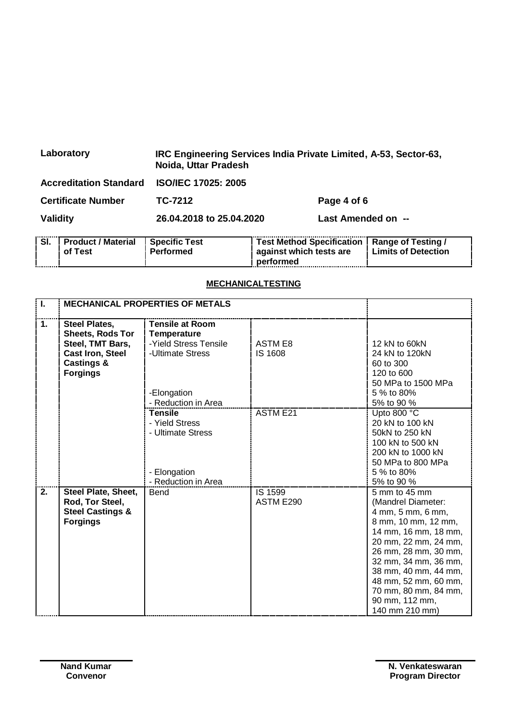| Laboratory                    | IRC Engineering Services India Private Limited, A-53, Sector-63,<br>Noida, Uttar Pradesh |             |  |
|-------------------------------|------------------------------------------------------------------------------------------|-------------|--|
| <b>Accreditation Standard</b> | <b>ISO/IEC 17025: 2005</b>                                                               |             |  |
| <b>Certificate Number</b>     | TC-7212                                                                                  | Page 4 of 6 |  |
| Validity                      | 26.04.2018 to 25.04.2020<br>Last Amended on --                                           |             |  |

|             | <b>Product / Material</b><br>of Test | <b>Specific Test</b><br>Performed | Test Method Specification   Range of Testing /<br>against which tests are | <b>Limits of Detection</b> |
|-------------|--------------------------------------|-----------------------------------|---------------------------------------------------------------------------|----------------------------|
| ----------- |                                      |                                   | performed                                                                 |                            |

## **MECHANICALTESTING**

| T. | <b>MECHANICAL PROPERTIES OF METALS</b>                                                                                              |                                                                                                                                 |                           |                                                                                                                                                                                                                                                                                             |
|----|-------------------------------------------------------------------------------------------------------------------------------------|---------------------------------------------------------------------------------------------------------------------------------|---------------------------|---------------------------------------------------------------------------------------------------------------------------------------------------------------------------------------------------------------------------------------------------------------------------------------------|
| 1. | Steel Plates,<br><b>Sheets, Rods Tor</b><br>Steel, TMT Bars,<br><b>Cast Iron, Steel</b><br><b>Castings &amp;</b><br><b>Forgings</b> | <b>Tensile at Room</b><br><b>Temperature</b><br>-Yield Stress Tensile<br>-Ultimate Stress<br>-Elongation<br>- Reduction in Area | ASTM E8<br><b>IS 1608</b> | 12 kN to 60kN<br>24 kN to 120kN<br>60 to 300<br>120 to 600<br>50 MPa to 1500 MPa<br>5 % to 80%<br>5% to 90 %                                                                                                                                                                                |
|    |                                                                                                                                     | <b>Tensile</b><br>- Yield Stress<br>- Ultimate Stress<br>- Elongation<br>- Reduction in Area                                    | <b>ASTM E21</b>           | Upto 800 °C<br>20 kN to 100 kN<br>50kN to 250 kN<br>100 kN to 500 kN<br>200 kN to 1000 kN<br>50 MPa to 800 MPa<br>5 % to 80%<br>5% to 90 %                                                                                                                                                  |
| 2. | Steel Plate, Sheet,<br>Rod, Tor Steel,<br><b>Steel Castings &amp;</b><br><b>Forgings</b>                                            | <b>Bend</b>                                                                                                                     | IS 1599<br>ASTM E290      | 5 mm to 45 mm<br>(Mandrel Diameter:<br>4 mm, 5 mm, 6 mm,<br>8 mm, 10 mm, 12 mm,<br>14 mm, 16 mm, 18 mm,<br>20 mm, 22 mm, 24 mm,<br>26 mm, 28 mm, 30 mm,<br>32 mm, 34 mm, 36 mm,<br>38 mm, 40 mm, 44 mm,<br>48 mm, 52 mm, 60 mm,<br>70 mm, 80 mm, 84 mm,<br>90 mm, 112 mm,<br>140 mm 210 mm) |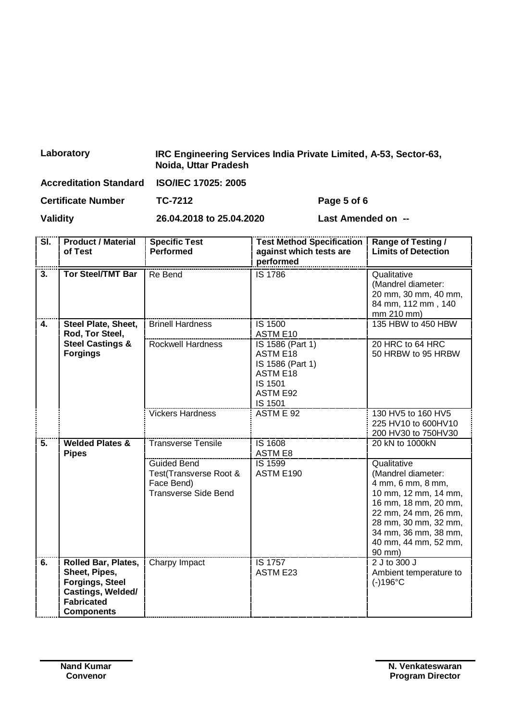| Laboratory                                 | IRC Engineering Services India Private Limited, A-53, Sector-63,<br>Noida, Uttar Pradesh |                    |  |
|--------------------------------------------|------------------------------------------------------------------------------------------|--------------------|--|
| Accreditation Standard ISO/IEC 17025: 2005 |                                                                                          |                    |  |
| <b>Certificate Number</b>                  | TC-7212                                                                                  | Page 5 of 6        |  |
| <b>Validity</b>                            | 26.04.2018 to 25.04.2020                                                                 | Last Amended on -- |  |

| $\overline{\mathsf{SI}}$ . | <b>Product / Material</b><br>of Test                                                                                                 | <b>Specific Test</b><br><b>Performed</b>                                                  | <b>Test Method Specification</b><br>against which tests are<br>performed                                            | <b>Range of Testing /</b><br><b>Limits of Detection</b>                                                                                                                                                          |
|----------------------------|--------------------------------------------------------------------------------------------------------------------------------------|-------------------------------------------------------------------------------------------|---------------------------------------------------------------------------------------------------------------------|------------------------------------------------------------------------------------------------------------------------------------------------------------------------------------------------------------------|
| $\overline{\mathbf{3}}$ .  | <b>Tor Steel/TMT Bar</b>                                                                                                             | Re Bend                                                                                   | IS 1786                                                                                                             | Qualitative<br>(Mandrel diameter:<br>20 mm, 30 mm, 40 mm,<br>84 mm, 112 mm, 140<br>mm 210 mm)                                                                                                                    |
| 4.                         | Steel Plate, Sheet,<br>Rod, Tor Steel,                                                                                               | <b>Brinell Hardness</b>                                                                   | IS 1500<br>ASTM E10                                                                                                 | 135 HBW to 450 HBW                                                                                                                                                                                               |
|                            | <b>Steel Castings &amp;</b><br><b>Forgings</b>                                                                                       | <b>Rockwell Hardness</b>                                                                  | IS 1586 (Part 1)<br><b>ASTM E18</b><br>IS 1586 (Part 1)<br><b>ASTM E18</b><br>IS 1501<br><b>ASTM E92</b><br>IS 1501 | 20 HRC to 64 HRC<br>50 HRBW to 95 HRBW                                                                                                                                                                           |
|                            |                                                                                                                                      | <b>Vickers Hardness</b>                                                                   | ASTM E 92                                                                                                           | 130 HV5 to 160 HV5<br>225 HV10 to 600HV10<br>200 HV30 to 750HV30                                                                                                                                                 |
| 5.                         | <b>Welded Plates &amp;</b><br><b>Pipes</b>                                                                                           | <b>Transverse Tensile</b>                                                                 | IS 1608<br><b>ASTM E8</b>                                                                                           | 20 kN to 1000kN                                                                                                                                                                                                  |
|                            |                                                                                                                                      | <b>Guided Bend</b><br>Test(Transverse Root &<br>Face Bend)<br><b>Transverse Side Bend</b> | IS 1599<br>ASTM E190                                                                                                | Qualitative<br>(Mandrel diameter:<br>4 mm, 6 mm, 8 mm,<br>10 mm, 12 mm, 14 mm,<br>16 mm, 18 mm, 20 mm,<br>22 mm, 24 mm, 26 mm,<br>28 mm, 30 mm, 32 mm,<br>34 mm, 36 mm, 38 mm,<br>40 mm, 44 mm, 52 mm,<br>90 mm) |
| 6.                         | <b>Rolled Bar, Plates,</b><br>Sheet, Pipes,<br><b>Forgings, Steel</b><br>Castings, Welded/<br><b>Fabricated</b><br><b>Components</b> | Charpy Impact                                                                             | <b>IS 1757</b><br><b>ASTM E23</b>                                                                                   | 2 J to 300 J<br>Ambient temperature to<br>$(-)196^{\circ}C$                                                                                                                                                      |